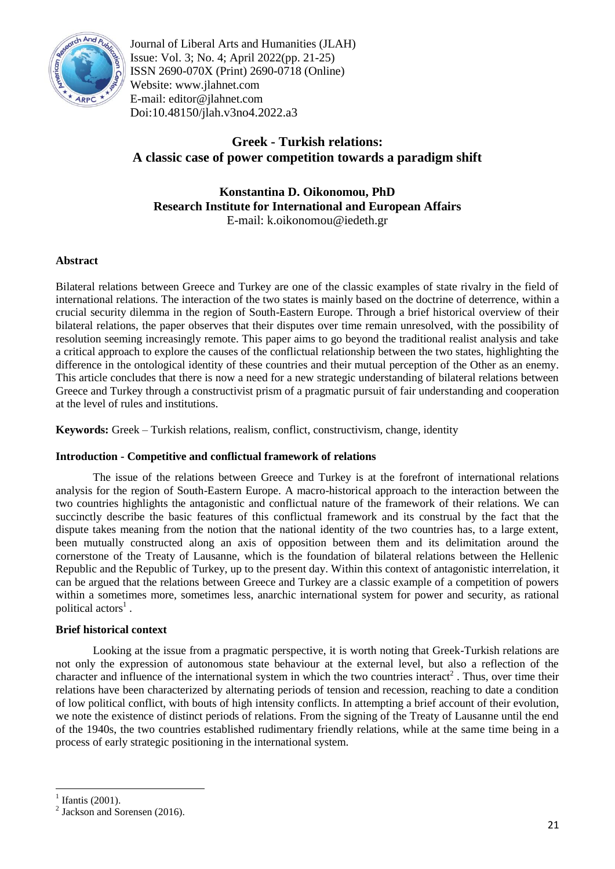

Journal of Liberal Arts and Humanities (JLAH) Issue: Vol. 3; No. 4; April 2022(pp. 21-25) ISSN 2690-070X (Print) 2690-0718 (Online) Website: www.jlahnet.com E-mail: editor@jlahnet.com Doi:10.48150/jlah.v3no4.2022.a3

# **Greek - Turkish relations: A classic case of power competition towards a paradigm shift**

# **Konstantina D. Oikonomou, PhD Research Institute for International and European Affairs** E-mail: k.oikonomou@iedeth.gr

# **Abstract**

Bilateral relations between Greece and Turkey are one of the classic examples of state rivalry in the field of international relations. The interaction of the two states is mainly based on the doctrine of deterrence, within a crucial security dilemma in the region of South-Eastern Europe. Through a brief historical overview of their bilateral relations, the paper observes that their disputes over time remain unresolved, with the possibility of resolution seeming increasingly remote. This paper aims to go beyond the traditional realist analysis and take a critical approach to explore the causes of the conflictual relationship between the two states, highlighting the difference in the ontological identity of these countries and their mutual perception of the Other as an enemy. This article concludes that there is now a need for a new strategic understanding of bilateral relations between Greece and Turkey through a constructivist prism of a pragmatic pursuit of fair understanding and cooperation at the level of rules and institutions.

**Keywords:** Greek – Turkish relations, realism, conflict, constructivism, change, identity

# **Introduction - Competitive and conflictual framework of relations**

The issue of the relations between Greece and Turkey is at the forefront of international relations analysis for the region of South-Eastern Europe. A macro-historical approach to the interaction between the two countries highlights the antagonistic and conflictual nature of the framework of their relations. We can succinctly describe the basic features of this conflictual framework and its construal by the fact that the dispute takes meaning from the notion that the national identity of the two countries has, to a large extent, been mutually constructed along an axis of opposition between them and its delimitation around the cornerstone of the Treaty of Lausanne, which is the foundation of bilateral relations between the Hellenic Republic and the Republic of Turkey, up to the present day. Within this context of antagonistic interrelation, it can be argued that the relations between Greece and Turkey are a classic example of a competition of powers within a sometimes more, sometimes less, anarchic international system for power and security, as rational political actors<sup>1</sup>.

# **Brief historical context**

Looking at the issue from a pragmatic perspective, it is worth noting that Greek-Turkish relations are not only the expression of autonomous state behaviour at the external level, but also a reflection of the character and influence of the international system in which the two countries interact<sup>2</sup>. Thus, over time their relations have been characterized by alternating periods of tension and recession, reaching to date a condition of low political conflict, with bouts of high intensity conflicts. In attempting a brief account of their evolution, we note the existence of distinct periods of relations. From the signing of the Treaty of Lausanne until the end of the 1940s, the two countries established rudimentary friendly relations, while at the same time being in a process of early strategic positioning in the international system.

<sup>1</sup>  $<sup>1</sup>$  Ifantis (2001).</sup>

 $2$  Jackson and Sorensen (2016).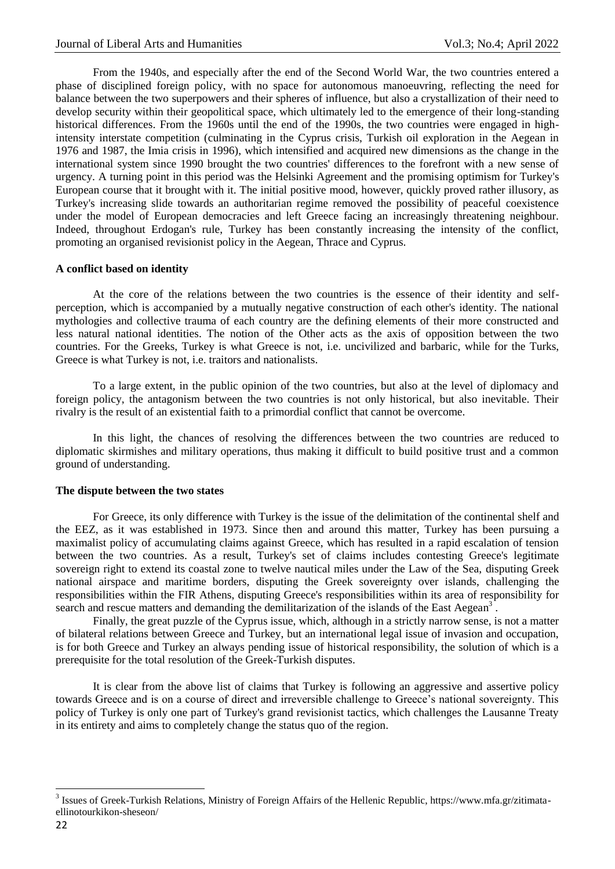From the 1940s, and especially after the end of the Second World War, the two countries entered a phase of disciplined foreign policy, with no space for autonomous manoeuvring, reflecting the need for balance between the two superpowers and their spheres of influence, but also a crystallization of their need to develop security within their geopolitical space, which ultimately led to the emergence of their long-standing historical differences. From the 1960s until the end of the 1990s, the two countries were engaged in highintensity interstate competition (culminating in the Cyprus crisis, Turkish oil exploration in the Aegean in 1976 and 1987, the Imia crisis in 1996), which intensified and acquired new dimensions as the change in the international system since 1990 brought the two countries' differences to the forefront with a new sense of urgency. A turning point in this period was the Helsinki Agreement and the promising optimism for Turkey's European course that it brought with it. The initial positive mood, however, quickly proved rather illusory, as Turkey's increasing slide towards an authoritarian regime removed the possibility of peaceful coexistence under the model of European democracies and left Greece facing an increasingly threatening neighbour. Indeed, throughout Erdogan's rule, Turkey has been constantly increasing the intensity of the conflict, promoting an organised revisionist policy in the Aegean, Thrace and Cyprus.

#### **A conflict based on identity**

At the core of the relations between the two countries is the essence of their identity and selfperception, which is accompanied by a mutually negative construction of each other's identity. The national mythologies and collective trauma of each country are the defining elements of their more constructed and less natural national identities. The notion of the Other acts as the axis of opposition between the two countries. For the Greeks, Turkey is what Greece is not, i.e. uncivilized and barbaric, while for the Turks, Greece is what Turkey is not, i.e. traitors and nationalists.

To a large extent, in the public opinion of the two countries, but also at the level of diplomacy and foreign policy, the antagonism between the two countries is not only historical, but also inevitable. Their rivalry is the result of an existential faith to a primordial conflict that cannot be overcome.

In this light, the chances of resolving the differences between the two countries are reduced to diplomatic skirmishes and military operations, thus making it difficult to build positive trust and a common ground of understanding.

#### **The dispute between the two states**

For Greece, its only difference with Turkey is the issue of the delimitation of the continental shelf and the EEZ, as it was established in 1973. Since then and around this matter, Turkey has been pursuing a maximalist policy of accumulating claims against Greece, which has resulted in a rapid escalation of tension between the two countries. As a result, Turkey's set of claims includes contesting Greece's legitimate sovereign right to extend its coastal zone to twelve nautical miles under the Law of the Sea, disputing Greek national airspace and maritime borders, disputing the Greek sovereignty over islands, challenging the responsibilities within the FIR Athens, disputing Greece's responsibilities within its area of responsibility for search and rescue matters and demanding the demilitarization of the islands of the East Aegean<sup>3</sup>.

Finally, the great puzzle of the Cyprus issue, which, although in a strictly narrow sense, is not a matter of bilateral relations between Greece and Turkey, but an international legal issue of invasion and occupation, is for both Greece and Turkey an always pending issue of historical responsibility, the solution of which is a prerequisite for the total resolution of the Greek-Turkish disputes.

It is clear from the above list of claims that Turkey is following an aggressive and assertive policy towards Greece and is on a course of direct and irreversible challenge to Greece's national sovereignty. This policy of Turkey is only one part of Turkey's grand revisionist tactics, which challenges the Lausanne Treaty in its entirety and aims to completely change the status quo of the region.

1

<sup>&</sup>lt;sup>3</sup> Issues of Greek-Turkish Relations, Ministry of Foreign Affairs of the Hellenic Republic, https://www.mfa.gr/zitimataellinotourkikon-sheseon/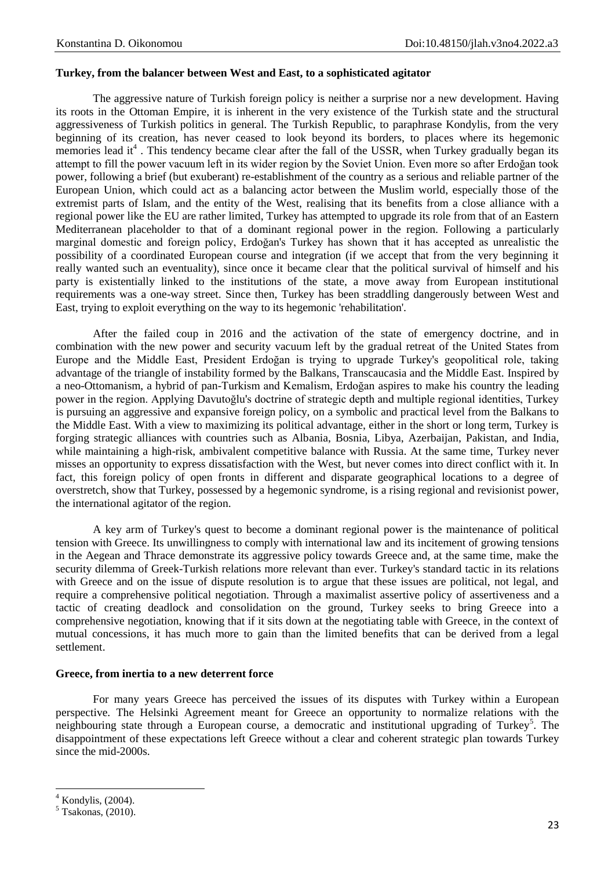### **Turkey, from the balancer between West and East, to a sophisticated agitator**

The aggressive nature of Turkish foreign policy is neither a surprise nor a new development. Having its roots in the Ottoman Empire, it is inherent in the very existence of the Turkish state and the structural aggressiveness of Turkish politics in general. The Turkish Republic, to paraphrase Kondylis, from the very beginning of its creation, has never ceased to look beyond its borders, to places where its hegemonic memories lead it<sup>4</sup>. This tendency became clear after the fall of the USSR, when Turkey gradually began its attempt to fill the power vacuum left in its wider region by the Soviet Union. Even more so after Erdoğan took power, following a brief (but exuberant) re-establishment of the country as a serious and reliable partner of the European Union, which could act as a balancing actor between the Muslim world, especially those of the extremist parts of Islam, and the entity of the West, realising that its benefits from a close alliance with a regional power like the EU are rather limited, Turkey has attempted to upgrade its role from that of an Eastern Mediterranean placeholder to that of a dominant regional power in the region. Following a particularly marginal domestic and foreign policy, Erdoğan's Turkey has shown that it has accepted as unrealistic the possibility of a coordinated European course and integration (if we accept that from the very beginning it really wanted such an eventuality), since once it became clear that the political survival of himself and his party is existentially linked to the institutions of the state, a move away from European institutional requirements was a one-way street. Since then, Turkey has been straddling dangerously between West and East, trying to exploit everything on the way to its hegemonic 'rehabilitation'.

After the failed coup in 2016 and the activation of the state of emergency doctrine, and in combination with the new power and security vacuum left by the gradual retreat of the United States from Europe and the Middle East, President Erdoğan is trying to upgrade Turkey's geopolitical role, taking advantage of the triangle of instability formed by the Balkans, Transcaucasia and the Middle East. Inspired by a neo-Ottomanism, a hybrid of pan-Turkism and Kemalism, Erdoğan aspires to make his country the leading power in the region. Applying Davutoğlu's doctrine of strategic depth and multiple regional identities, Turkey is pursuing an aggressive and expansive foreign policy, on a symbolic and practical level from the Balkans to the Middle East. With a view to maximizing its political advantage, either in the short or long term, Turkey is forging strategic alliances with countries such as Albania, Bosnia, Libya, Azerbaijan, Pakistan, and India, while maintaining a high-risk, ambivalent competitive balance with Russia. At the same time, Turkey never misses an opportunity to express dissatisfaction with the West, but never comes into direct conflict with it. In fact, this foreign policy of open fronts in different and disparate geographical locations to a degree of overstretch, show that Turkey, possessed by a hegemonic syndrome, is a rising regional and revisionist power, the international agitator of the region.

A key arm of Turkey's quest to become a dominant regional power is the maintenance of political tension with Greece. Its unwillingness to comply with international law and its incitement of growing tensions in the Aegean and Thrace demonstrate its aggressive policy towards Greece and, at the same time, make the security dilemma of Greek-Turkish relations more relevant than ever. Turkey's standard tactic in its relations with Greece and on the issue of dispute resolution is to argue that these issues are political, not legal, and require a comprehensive political negotiation. Through a maximalist assertive policy of assertiveness and a tactic of creating deadlock and consolidation on the ground, Turkey seeks to bring Greece into a comprehensive negotiation, knowing that if it sits down at the negotiating table with Greece, in the context of mutual concessions, it has much more to gain than the limited benefits that can be derived from a legal settlement.

#### **Greece, from inertia to a new deterrent force**

For many years Greece has perceived the issues of its disputes with Turkey within a European perspective. The Helsinki Agreement meant for Greece an opportunity to normalize relations with the neighbouring state through a European course, a democratic and institutional upgrading of Turkey<sup>5</sup>. The disappointment of these expectations left Greece without a clear and coherent strategic plan towards Turkey since the mid-2000s.

<sup>1</sup>  $4$  Kondylis,  $(2004)$ .

 $5$  Tsakonas, (2010).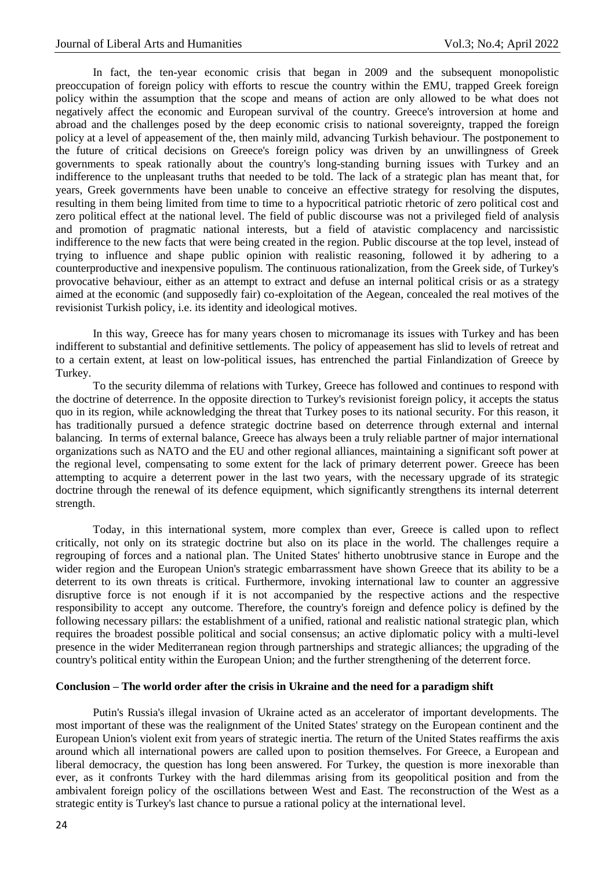In fact, the ten-year economic crisis that began in 2009 and the subsequent monopolistic preoccupation of foreign policy with efforts to rescue the country within the EMU, trapped Greek foreign policy within the assumption that the scope and means of action are only allowed to be what does not negatively affect the economic and European survival of the country. Greece's introversion at home and abroad and the challenges posed by the deep economic crisis to national sovereignty, trapped the foreign policy at a level of appeasement of the, then mainly mild, advancing Turkish behaviour. The postponement to the future of critical decisions on Greece's foreign policy was driven by an unwillingness of Greek governments to speak rationally about the country's long-standing burning issues with Turkey and an indifference to the unpleasant truths that needed to be told. The lack of a strategic plan has meant that, for years, Greek governments have been unable to conceive an effective strategy for resolving the disputes, resulting in them being limited from time to time to a hypocritical patriotic rhetoric of zero political cost and zero political effect at the national level. The field of public discourse was not a privileged field of analysis and promotion of pragmatic national interests, but a field of atavistic complacency and narcissistic indifference to the new facts that were being created in the region. Public discourse at the top level, instead of trying to influence and shape public opinion with realistic reasoning, followed it by adhering to a counterproductive and inexpensive populism. The continuous rationalization, from the Greek side, of Turkey's provocative behaviour, either as an attempt to extract and defuse an internal political crisis or as a strategy aimed at the economic (and supposedly fair) co-exploitation of the Aegean, concealed the real motives of the revisionist Turkish policy, i.e. its identity and ideological motives.

In this way, Greece has for many years chosen to micromanage its issues with Turkey and has been indifferent to substantial and definitive settlements. The policy of appeasement has slid to levels of retreat and to a certain extent, at least on low-political issues, has entrenched the partial Finlandization of Greece by Turkey.

To the security dilemma of relations with Turkey, Greece has followed and continues to respond with the doctrine of deterrence. In the opposite direction to Turkey's revisionist foreign policy, it accepts the status quo in its region, while acknowledging the threat that Turkey poses to its national security. For this reason, it has traditionally pursued a defence strategic doctrine based on deterrence through external and internal balancing. In terms of external balance, Greece has always been a truly reliable partner of major international organizations such as NATO and the EU and other regional alliances, maintaining a significant soft power at the regional level, compensating to some extent for the lack of primary deterrent power. Greece has been attempting to acquire a deterrent power in the last two years, with the necessary upgrade of its strategic doctrine through the renewal of its defence equipment, which significantly strengthens its internal deterrent strength.

Today, in this international system, more complex than ever, Greece is called upon to reflect critically, not only on its strategic doctrine but also on its place in the world. The challenges require a regrouping of forces and a national plan. The United States' hitherto unobtrusive stance in Europe and the wider region and the European Union's strategic embarrassment have shown Greece that its ability to be a deterrent to its own threats is critical. Furthermore, invoking international law to counter an aggressive disruptive force is not enough if it is not accompanied by the respective actions and the respective responsibility to accept any outcome. Therefore, the country's foreign and defence policy is defined by the following necessary pillars: the establishment of a unified, rational and realistic national strategic plan, which requires the broadest possible political and social consensus; an active diplomatic policy with a multi-level presence in the wider Mediterranean region through partnerships and strategic alliances; the upgrading of the country's political entity within the European Union; and the further strengthening of the deterrent force.

#### **Conclusion – The world order after the crisis in Ukraine and the need for a paradigm shift**

Putin's Russia's illegal invasion of Ukraine acted as an accelerator of important developments. The most important of these was the realignment of the United States' strategy on the European continent and the European Union's violent exit from years of strategic inertia. The return of the United States reaffirms the axis around which all international powers are called upon to position themselves. For Greece, a European and liberal democracy, the question has long been answered. For Turkey, the question is more inexorable than ever, as it confronts Turkey with the hard dilemmas arising from its geopolitical position and from the ambivalent foreign policy of the oscillations between West and East. The reconstruction of the West as a strategic entity is Turkey's last chance to pursue a rational policy at the international level.